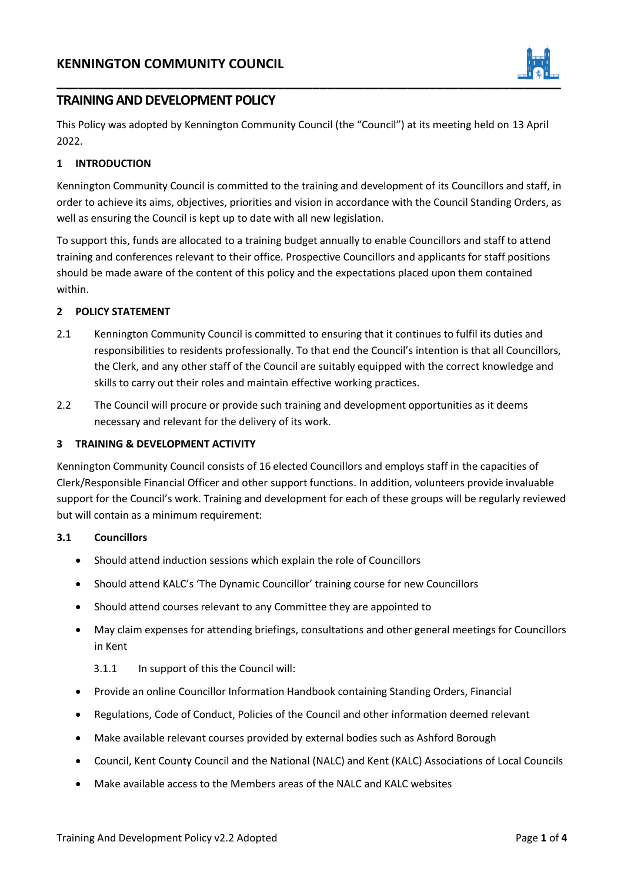

## **TRAINING AND DEVELOPMENT POLICY**

This Policy was adopted by Kennington Community Council (the "Council") at its meeting held on 13 April 2022.

## **1 INTRODUCTION**

Kennington Community Council is committed to the training and development of its Councillors and staff, in order to achieve its aims, objectives, priorities and vision in accordance with the Council Standing Orders, as well as ensuring the Council is kept up to date with all new legislation.

To support this, funds are allocated to a training budget annually to enable Councillors and staff to attend training and conferences relevant to their office. Prospective Councillors and applicants for staff positions should be made aware of the content of this policy and the expectations placed upon them contained within.

## **2 POLICY STATEMENT**

- 2.1 Kennington Community Council is committed to ensuring that it continues to fulfil its duties and responsibilities to residents professionally. To that end the Council's intention is that all Councillors, the Clerk, and any other staff of the Council are suitably equipped with the correct knowledge and skills to carry out their roles and maintain effective working practices.
- 2.2 The Council will procure or provide such training and development opportunities as it deems necessary and relevant for the delivery of its work.

## **3 TRAINING & DEVELOPMENT ACTIVITY**

Kennington Community Council consists of 16 elected Councillors and employs staff in the capacities of Clerk/Responsible Financial Officer and other support functions. In addition, volunteers provide invaluable support for the Council's work. Training and development for each of these groups will be regularly reviewed but will contain as a minimum requirement:

## **3.1 Councillors**

- Should attend induction sessions which explain the role of Councillors
- Should attend KALC's 'The Dynamic Councillor' training course for new Councillors
- Should attend courses relevant to any Committee they are appointed to
- May claim expenses for attending briefings, consultations and other general meetings for Councillors in Kent

## 3.1.1 In support of this the Council will:

- Provide an online Councillor Information Handbook containing Standing Orders, Financial
- Regulations, Code of Conduct, Policies of the Council and other information deemed relevant
- Make available relevant courses provided by external bodies such as Ashford Borough
- Council, Kent County Council and the National (NALC) and Kent (KALC) Associations of Local Councils
- Make available access to the Members areas of the NALC and KALC websites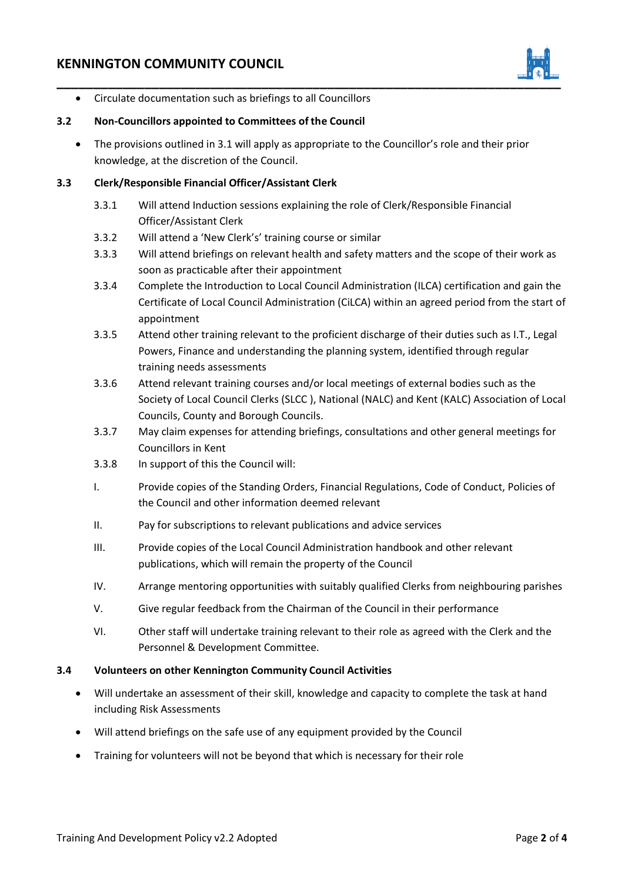# **KENNINGTON COMMUNITY COUNCIL**



• Circulate documentation such as briefings to all Councillors

#### **3.2 Non-Councillors appointed to Committees of the Council**

• The provisions outlined in 3.1 will apply as appropriate to the Councillor's role and their prior knowledge, at the discretion of the Council.

## **3.3 Clerk/Responsible Financial Officer/Assistant Clerk**

- 3.3.1 Will attend Induction sessions explaining the role of Clerk/Responsible Financial Officer/Assistant Clerk
- 3.3.2 Will attend a 'New Clerk's' training course or similar
- 3.3.3 Will attend briefings on relevant health and safety matters and the scope of their work as soon as practicable after their appointment
- 3.3.4 Complete the Introduction to Local Council Administration (ILCA) certification and gain the Certificate of Local Council Administration (CiLCA) within an agreed period from the start of appointment
- 3.3.5 Attend other training relevant to the proficient discharge of their duties such as I.T., Legal Powers, Finance and understanding the planning system, identified through regular training needs assessments
- 3.3.6 Attend relevant training courses and/or local meetings of external bodies such as the Society of Local Council Clerks (SLCC ), National (NALC) and Kent (KALC) Association of Local Councils, County and Borough Councils.
- 3.3.7 May claim expenses for attending briefings, consultations and other general meetings for Councillors in Kent
- 3.3.8 In support of this the Council will:
- I. Provide copies of the Standing Orders, Financial Regulations, Code of Conduct, Policies of the Council and other information deemed relevant
- II. Pay for subscriptions to relevant publications and advice services
- III. Provide copies of the Local Council Administration handbook and other relevant publications, which will remain the property of the Council
- IV. Arrange mentoring opportunities with suitably qualified Clerks from neighbouring parishes
- V. Give regular feedback from the Chairman of the Council in their performance
- VI. Other staff will undertake training relevant to their role as agreed with the Clerk and the Personnel & Development Committee.

## **3.4 Volunteers on other Kennington Community Council Activities**

- Will undertake an assessment of their skill, knowledge and capacity to complete the task at hand including Risk Assessments
- Will attend briefings on the safe use of any equipment provided by the Council
- Training for volunteers will not be beyond that which is necessary for their role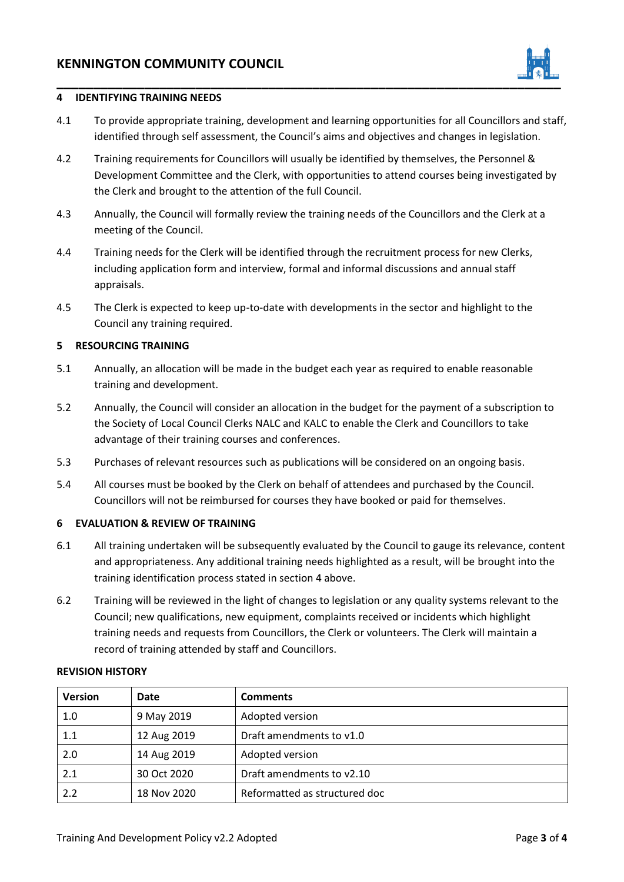

## **4 IDENTIFYING TRAINING NEEDS**

- 4.1 To provide appropriate training, development and learning opportunities for all Councillors and staff, identified through self assessment, the Council's aims and objectives and changes in legislation.
- 4.2 Training requirements for Councillors will usually be identified by themselves, the Personnel & Development Committee and the Clerk, with opportunities to attend courses being investigated by the Clerk and brought to the attention of the full Council.
- 4.3 Annually, the Council will formally review the training needs of the Councillors and the Clerk at a meeting of the Council.
- 4.4 Training needs for the Clerk will be identified through the recruitment process for new Clerks, including application form and interview, formal and informal discussions and annual staff appraisals.
- 4.5 The Clerk is expected to keep up-to-date with developments in the sector and highlight to the Council any training required.

## **5 RESOURCING TRAINING**

- 5.1 Annually, an allocation will be made in the budget each year as required to enable reasonable training and development.
- 5.2 Annually, the Council will consider an allocation in the budget for the payment of a subscription to the Society of Local Council Clerks NALC and KALC to enable the Clerk and Councillors to take advantage of their training courses and conferences.
- 5.3 Purchases of relevant resources such as publications will be considered on an ongoing basis.
- 5.4 All courses must be booked by the Clerk on behalf of attendees and purchased by the Council. Councillors will not be reimbursed for courses they have booked or paid for themselves.

## **6 EVALUATION & REVIEW OF TRAINING**

- 6.1 All training undertaken will be subsequently evaluated by the Council to gauge its relevance, content and appropriateness. Any additional training needs highlighted as a result, will be brought into the training identification process stated in section 4 above.
- 6.2 Training will be reviewed in the light of changes to legislation or any quality systems relevant to the Council; new qualifications, new equipment, complaints received or incidents which highlight training needs and requests from Councillors, the Clerk or volunteers. The Clerk will maintain a record of training attended by staff and Councillors.

| <b>REVISION HISTORY</b> |  |
|-------------------------|--|
|-------------------------|--|

| <b>Version</b> | Date        | <b>Comments</b>               |
|----------------|-------------|-------------------------------|
| 1.0            | 9 May 2019  | Adopted version               |
| 1.1            | 12 Aug 2019 | Draft amendments to v1.0      |
| 2.0            | 14 Aug 2019 | Adopted version               |
| 2.1            | 30 Oct 2020 | Draft amendments to v2.10     |
| 2.2            | 18 Nov 2020 | Reformatted as structured doc |